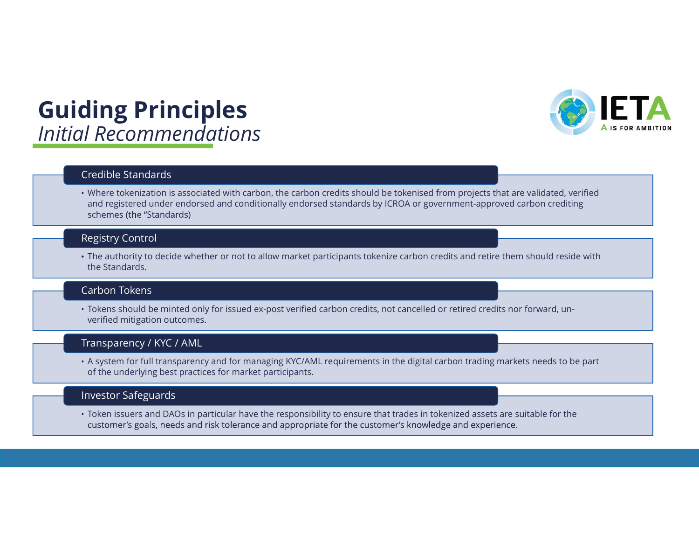## Guiding Principles Initial Recommendations



## Credible Standards

Where tokenization is associated with carbon, the carbon credits should be tokenised from projects that are validated, verified and registered under endorsed and conditionally endorsed standards by ICROA or government-approved carbon crediting schemes (the "Standards)

## Registry Control

The authority to decide whether or not to allow market participants tokenize carbon credits and retire them should reside with the Standards.

### Carbon Tokens

Tokens should be minted only for issued ex-post verified carbon credits, not cancelled or retired credits nor forward, unverified mitigation outcomes.

### Transparency / KYC / AML

A system for full transparency and for managing KYC/AML requirements in the digital carbon trading markets needs to be part of the underlying best practices for market participants.

### Investor Safeguards

Token issuers and DAOs in particular have the responsibility to ensure that trades in tokenized assets are suitable for the customer's goals, needs and risk tolerance and appropriate for the customer's knowledge and experience.